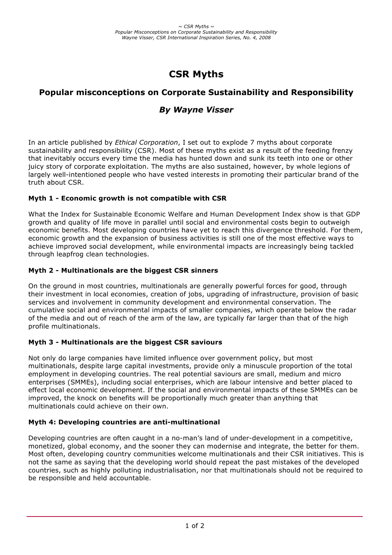## **CSR Myths**

# **Popular misconceptions on Corporate Sustainability and Responsibility**

### *By Wayne Visser*

In an article published by *Ethical Corporation*, I set out to explode 7 myths about corporate sustainability and responsibility (CSR). Most of these myths exist as a result of the feeding frenzy that inevitably occurs every time the media has hunted down and sunk its teeth into one or other juicy story of corporate exploitation. The myths are also sustained, however, by whole legions of largely well-intentioned people who have vested interests in promoting their particular brand of the truth about CSR.

#### **Myth 1 - Economic growth is not compatible with CSR**

What the Index for Sustainable Economic Welfare and Human Development Index show is that GDP growth and quality of life move in parallel until social and environmental costs begin to outweigh economic benefits. Most developing countries have yet to reach this divergence threshold. For them, economic growth and the expansion of business activities is still one of the most effective ways to achieve improved social development, while environmental impacts are increasingly being tackled through leapfrog clean technologies.

#### **Myth 2 - Multinationals are the biggest CSR sinners**

On the ground in most countries, multinationals are generally powerful forces for good, through their investment in local economies, creation of jobs, upgrading of infrastructure, provision of basic services and involvement in community development and environmental conservation. The cumulative social and environmental impacts of smaller companies, which operate below the radar of the media and out of reach of the arm of the law, are typically far larger than that of the high profile multinationals.

#### **Myth 3 - Multinationals are the biggest CSR saviours**

Not only do large companies have limited influence over government policy, but most multinationals, despite large capital investments, provide only a minuscule proportion of the total employment in developing countries. The real potential saviours are small, medium and micro enterprises (SMMEs), including social enterprises, which are labour intensive and better placed to effect local economic development. If the social and environmental impacts of these SMMEs can be improved, the knock on benefits will be proportionally much greater than anything that multinationals could achieve on their own.

#### **Myth 4: Developing countries are anti-multinational**

Developing countries are often caught in a no-man's land of under-development in a competitive, monetized, global economy, and the sooner they can modernise and integrate, the better for them. Most often, developing country communities welcome multinationals and their CSR initiatives. This is not the same as saying that the developing world should repeat the past mistakes of the developed countries, such as highly polluting industrialisation, nor that multinationals should not be required to be responsible and held accountable.